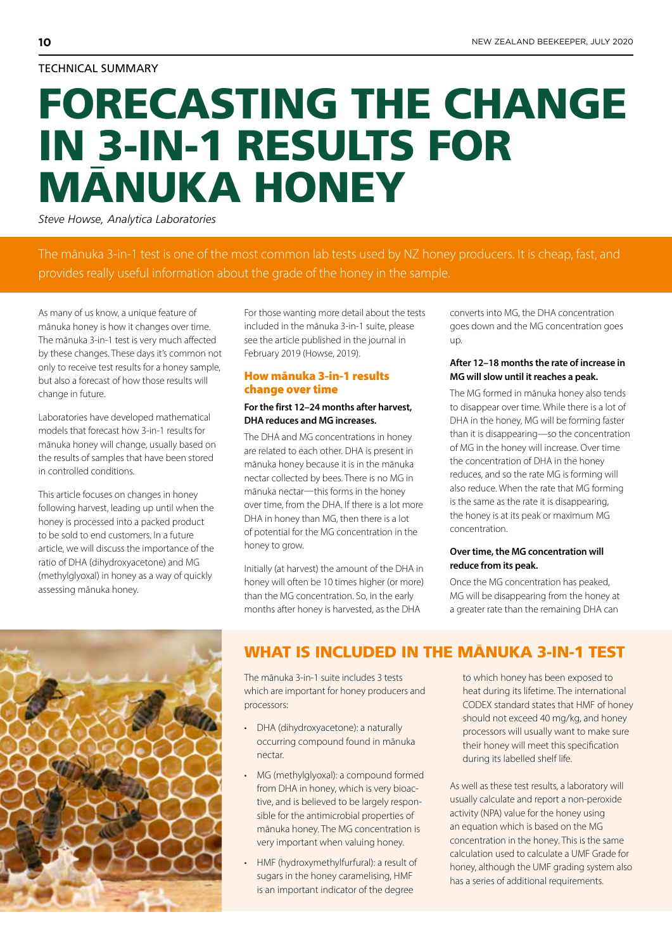# TECHNICAL SUMMARY

# FORECASTING THE CHANGE IN 3-IN-1 RESULTS FOR MANUKA HONEY

*Steve Howse, Analytica Laboratories*

The mānuka 3-in-1 test is one of the most common lab tests used by NZ honey producers. It is cheap, fast, and provides really useful information about the grade of the honey in the sample.

As many of us know, a unique feature of mānuka honey is how it changes over time. The mānuka 3-in-1 test is very much affected by these changes. These days it's common not only to receive test results for a honey sample, but also a forecast of how those results will change in future.

Laboratories have developed mathematical models that forecast how 3-in-1 results for mānuka honey will change, usually based on the results of samples that have been stored in controlled conditions.

This article focuses on changes in honey following harvest, leading up until when the honey is processed into a packed product to be sold to end customers. In a future article, we will discuss the importance of the ratio of DHA (dihydroxyacetone) and MG (methylglyoxal) in honey as a way of quickly assessing mānuka honey.

For those wanting more detail about the tests included in the mānuka 3-in-1 suite, please see the article published in the journal in February 2019 (Howse, 2019).

# How mānuka 3-in-1 results change over time

# **For the first 12–24 months after harvest, DHA reduces and MG increases.**

The DHA and MG concentrations in honey are related to each other. DHA is present in mānuka honey because it is in the mānuka nectar collected by bees. There is no MG in mānuka nectar—this forms in the honey over time, from the DHA. If there is a lot more DHA in honey than MG, then there is a lot of potential for the MG concentration in the honey to grow.

Initially (at harvest) the amount of the DHA in honey will often be 10 times higher (or more) than the MG concentration. So, in the early months after honey is harvested, as the DHA

converts into MG, the DHA concentration goes down and the MG concentration goes up.

# **After 12–18 months the rate of increase in MG will slow until it reaches a peak.**

The MG formed in mānuka honey also tends to disappear over time. While there is a lot of DHA in the honey, MG will be forming faster than it is disappearing—so the concentration of MG in the honey will increase. Over time the concentration of DHA in the honey reduces, and so the rate MG is forming will also reduce. When the rate that MG forming is the same as the rate it is disappearing, the honey is at its peak or maximum MG concentration.

# **Over time, the MG concentration will reduce from its peak.**

Once the MG concentration has peaked, MG will be disappearing from the honey at a greater rate than the remaining DHA can



# WHAT IS INCLUDED IN THE MANUKA 3-IN-1 TEST

The mānuka 3-in-1 suite includes 3 tests which are important for honey producers and processors:

- DHA (dihydroxyacetone): a naturally occurring compound found in mānuka nectar.
- MG (methylglyoxal): a compound formed from DHA in honey, which is very bioactive, and is believed to be largely responsible for the antimicrobial properties of mānuka honey. The MG concentration is very important when valuing honey.
- HMF (hydroxymethylfurfural): a result of sugars in the honey caramelising, HMF is an important indicator of the degree

to which honey has been exposed to heat during its lifetime. The international CODEX standard states that HMF of honey should not exceed 40 mg/kg, and honey processors will usually want to make sure their honey will meet this specification during its labelled shelf life.

As well as these test results, a laboratory will usually calculate and report a non-peroxide activity (NPA) value for the honey using an equation which is based on the MG concentration in the honey. This is the same calculation used to calculate a UMF Grade for honey, although the UMF grading system also has a series of additional requirements.